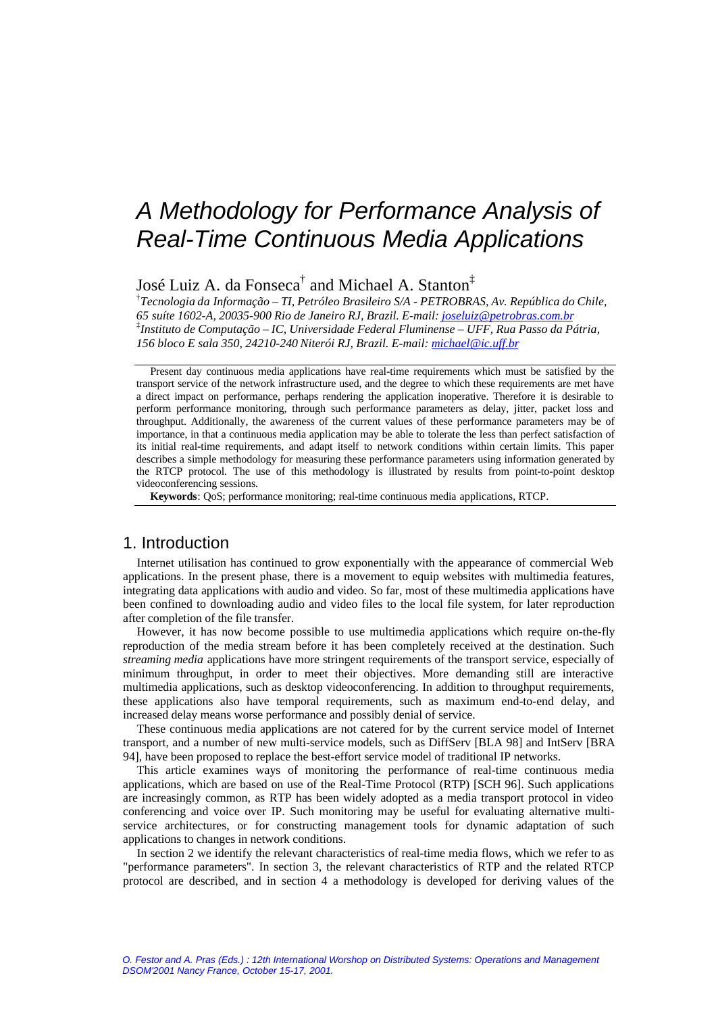# *A Methodology for Performance Analysis of Real-Time Continuous Media Applications*

# José Luiz A. da Fonseca $^\dagger$  and Michael A. Stanton $^\ddagger$

† *Tecnologia da Informação – TI, Petróleo Brasileiro S/A - PETROBRAS, Av. República do Chile, 65 suíte 1602-A, 20035-900 Rio de Janeiro RJ, Brazil. E-mail: joseluiz@petrobras.com.br* ‡ *Instituto de Computação – IC, Universidade Federal Fluminense – UFF, Rua Passo da Pátria, 156 bloco E sala 350, 24210-240 Niterói RJ, Brazil. E-mail: michael@ic.uff.br*

Present day continuous media applications have real-time requirements which must be satisfied by the transport service of the network infrastructure used, and the degree to which these requirements are met have a direct impact on performance, perhaps rendering the application inoperative. Therefore it is desirable to perform performance monitoring, through such performance parameters as delay, jitter, packet loss and throughput. Additionally, the awareness of the current values of these performance parameters may be of importance, in that a continuous media application may be able to tolerate the less than perfect satisfaction of its initial real-time requirements, and adapt itself to network conditions within certain limits. This paper describes a simple methodology for measuring these performance parameters using information generated by the RTCP protocol. The use of this methodology is illustrated by results from point-to-point desktop videoconferencing sessions.

**Keywords**: QoS; performance monitoring; real-time continuous media applications, RTCP.

## 1. Introduction

Internet utilisation has continued to grow exponentially with the appearance of commercial Web applications. In the present phase, there is a movement to equip websites with multimedia features, integrating data applications with audio and video. So far, most of these multimedia applications have been confined to downloading audio and video files to the local file system, for later reproduction after completion of the file transfer.

However, it has now become possible to use multimedia applications which require on-the-fly reproduction of the media stream before it has been completely received at the destination. Such *streaming media* applications have more stringent requirements of the transport service, especially of minimum throughput, in order to meet their objectives. More demanding still are interactive multimedia applications, such as desktop videoconferencing. In addition to throughput requirements, these applications also have temporal requirements, such as maximum end-to-end delay, and increased delay means worse performance and possibly denial of service.

These continuous media applications are not catered for by the current service model of Internet transport, and a number of new multi-service models, such as DiffServ [BLA 98] and IntServ [BRA 94], have been proposed to replace the best-effort service model of traditional IP networks.

This article examines ways of monitoring the performance of real-time continuous media applications, which are based on use of the Real-Time Protocol (RTP) [SCH 96]. Such applications are increasingly common, as RTP has been widely adopted as a media transport protocol in video conferencing and voice over IP. Such monitoring may be useful for evaluating alternative multiservice architectures, or for constructing management tools for dynamic adaptation of such applications to changes in network conditions.

In section 2 we identify the relevant characteristics of real-time media flows, which we refer to as "performance parameters". In section 3, the relevant characteristics of RTP and the related RTCP protocol are described, and in section 4 a methodology is developed for deriving values of the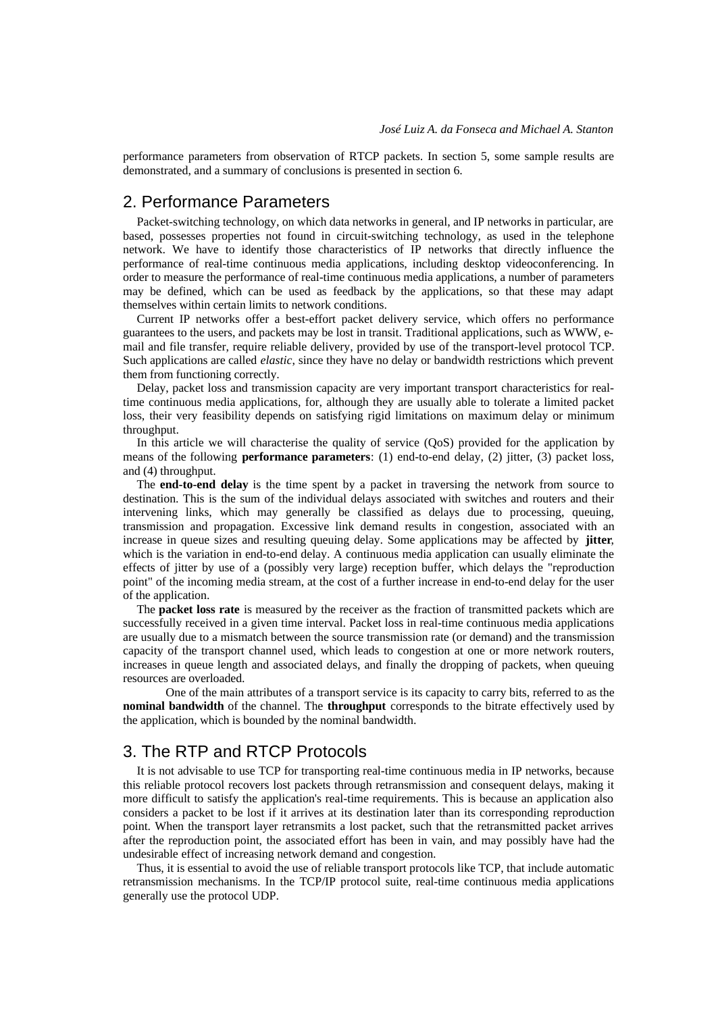performance parameters from observation of RTCP packets. In section 5, some sample results are demonstrated, and a summary of conclusions is presented in section 6.

## 2. Performance Parameters

Packet-switching technology, on which data networks in general, and IP networks in particular, are based, possesses properties not found in circuit-switching technology, as used in the telephone network. We have to identify those characteristics of IP networks that directly influence the performance of real-time continuous media applications, including desktop videoconferencing. In order to measure the performance of real-time continuous media applications, a number of parameters may be defined, which can be used as feedback by the applications, so that these may adapt themselves within certain limits to network conditions.

Current IP networks offer a best-effort packet delivery service, which offers no performance guarantees to the users, and packets may be lost in transit. Traditional applications, such as WWW, email and file transfer, require reliable delivery, provided by use of the transport-level protocol TCP. Such applications are called *elastic*, since they have no delay or bandwidth restrictions which prevent them from functioning correctly.

Delay, packet loss and transmission capacity are very important transport characteristics for realtime continuous media applications, for, although they are usually able to tolerate a limited packet loss, their very feasibility depends on satisfying rigid limitations on maximum delay or minimum throughput.

In this article we will characterise the quality of service (QoS) provided for the application by means of the following **performance parameters**: (1) end-to-end delay, (2) jitter, (3) packet loss, and (4) throughput.

The **end-to-end delay** is the time spent by a packet in traversing the network from source to destination. This is the sum of the individual delays associated with switches and routers and their intervening links, which may generally be classified as delays due to processing, queuing, transmission and propagation. Excessive link demand results in congestion, associated with an increase in queue sizes and resulting queuing delay. Some applications may be affected by **jitter**, which is the variation in end-to-end delay. A continuous media application can usually eliminate the effects of jitter by use of a (possibly very large) reception buffer, which delays the "reproduction point" of the incoming media stream, at the cost of a further increase in end-to-end delay for the user of the application.

The **packet loss rate** is measured by the receiver as the fraction of transmitted packets which are successfully received in a given time interval. Packet loss in real-time continuous media applications are usually due to a mismatch between the source transmission rate (or demand) and the transmission capacity of the transport channel used, which leads to congestion at one or more network routers, increases in queue length and associated delays, and finally the dropping of packets, when queuing resources are overloaded.

One of the main attributes of a transport service is its capacity to carry bits, referred to as the **nominal bandwidth** of the channel. The **throughput** corresponds to the bitrate effectively used by the application, which is bounded by the nominal bandwidth.

## 3. The RTP and RTCP Protocols

It is not advisable to use TCP for transporting real-time continuous media in IP networks, because this reliable protocol recovers lost packets through retransmission and consequent delays, making it more difficult to satisfy the application's real-time requirements. This is because an application also considers a packet to be lost if it arrives at its destination later than its corresponding reproduction point. When the transport layer retransmits a lost packet, such that the retransmitted packet arrives after the reproduction point, the associated effort has been in vain, and may possibly have had the undesirable effect of increasing network demand and congestion.

Thus, it is essential to avoid the use of reliable transport protocols like TCP, that include automatic retransmission mechanisms. In the TCP/IP protocol suite, real-time continuous media applications generally use the protocol UDP.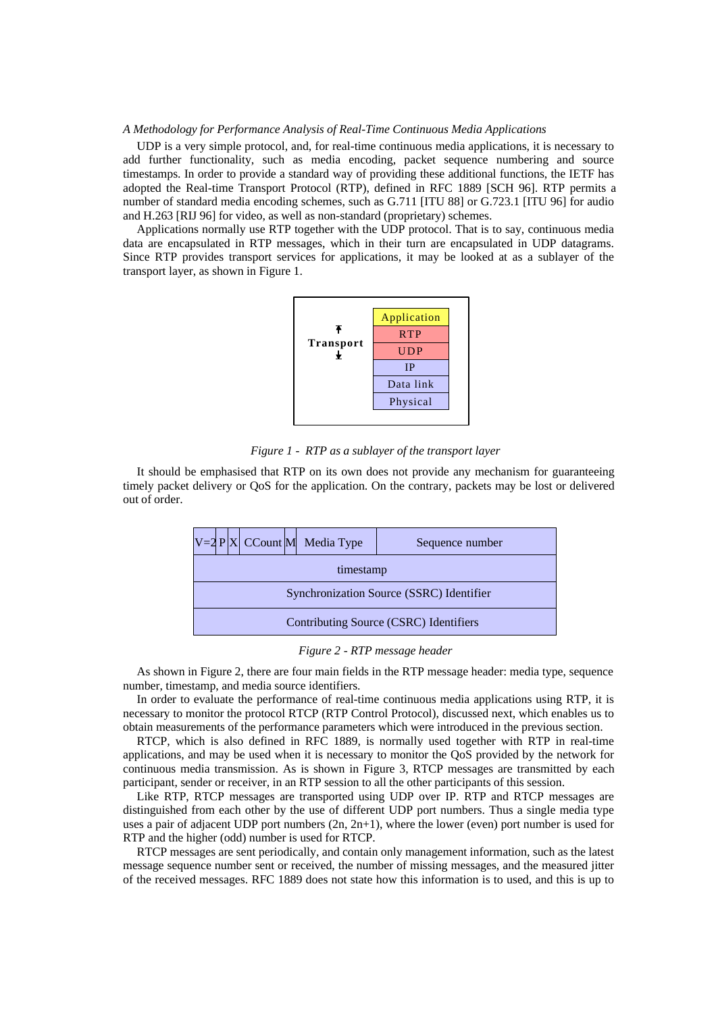#### *A Methodology for Performance Analysis of Real-Time Continuous Media Applications*

UDP is a very simple protocol, and, for real-time continuous media applications, it is necessary to add further functionality, such as media encoding, packet sequence numbering and source timestamps. In order to provide a standard way of providing these additional functions, the IETF has adopted the Real-time Transport Protocol (RTP), defined in RFC 1889 [SCH 96]. RTP permits a number of standard media encoding schemes, such as G.711 [ITU 88] or G.723.1 [ITU 96] for audio and H.263 [RIJ 96] for video, as well as non-standard (proprietary) schemes.

Applications normally use RTP together with the UDP protocol. That is to say, continuous media data are encapsulated in RTP messages, which in their turn are encapsulated in UDP datagrams. Since RTP provides transport services for applications, it may be looked at as a sublayer of the transport layer, as shown in Figure 1.



*Figure 1 - RTP as a sublayer of the transport layer*

It should be emphasised that RTP on its own does not provide any mechanism for guaranteeing timely packet delivery or QoS for the application. On the contrary, packets may be lost or delivered out of order.



#### *Figure 2 - RTP message header*

As shown in Figure 2, there are four main fields in the RTP message header: media type, sequence number, timestamp, and media source identifiers.

In order to evaluate the performance of real-time continuous media applications using RTP, it is necessary to monitor the protocol RTCP (RTP Control Protocol), discussed next, which enables us to obtain measurements of the performance parameters which were introduced in the previous section.

RTCP, which is also defined in RFC 1889, is normally used together with RTP in real-time applications, and may be used when it is necessary to monitor the QoS provided by the network for continuous media transmission. As is shown in Figure 3, RTCP messages are transmitted by each participant, sender or receiver, in an RTP session to all the other participants of this session.

Like RTP, RTCP messages are transported using UDP over IP. RTP and RTCP messages are distinguished from each other by the use of different UDP port numbers. Thus a single media type uses a pair of adjacent UDP port numbers (2n, 2n+1), where the lower (even) port number is used for RTP and the higher (odd) number is used for RTCP.

RTCP messages are sent periodically, and contain only management information, such as the latest message sequence number sent or received, the number of missing messages, and the measured jitter of the received messages. RFC 1889 does not state how this information is to used, and this is up to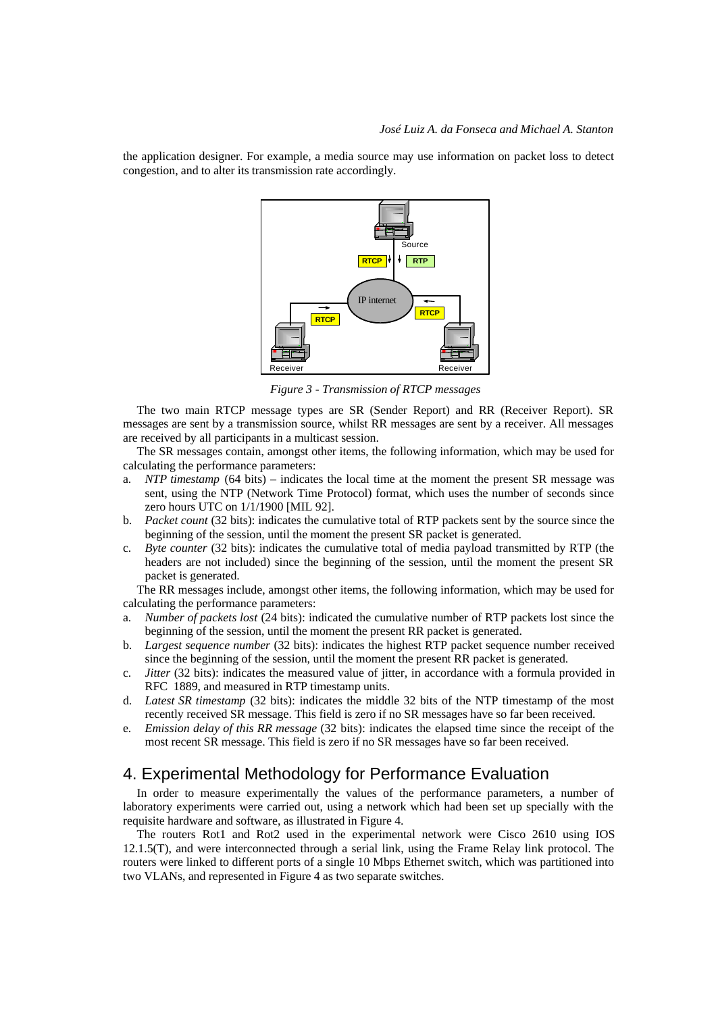the application designer. For example, a media source may use information on packet loss to detect congestion, and to alter its transmission rate accordingly.



*Figure 3 - Transmission of RTCP messages*

The two main RTCP message types are SR (Sender Report) and RR (Receiver Report). SR messages are sent by a transmission source, whilst RR messages are sent by a receiver. All messages are received by all participants in a multicast session.

The SR messages contain, amongst other items, the following information, which may be used for calculating the performance parameters:

- a. *NTP timestamp* (64 bits) indicates the local time at the moment the present SR message was sent, using the NTP (Network Time Protocol) format, which uses the number of seconds since zero hours UTC on 1/1/1900 [MIL 92].
- b. *Packet count* (32 bits): indicates the cumulative total of RTP packets sent by the source since the beginning of the session, until the moment the present SR packet is generated.
- c. *Byte counter* (32 bits): indicates the cumulative total of media payload transmitted by RTP (the headers are not included) since the beginning of the session, until the moment the present SR packet is generated.

The RR messages include, amongst other items, the following information, which may be used for calculating the performance parameters:

- a. *Number of packets lost* (24 bits): indicated the cumulative number of RTP packets lost since the beginning of the session, until the moment the present RR packet is generated.
- b. *Largest sequence number* (32 bits): indicates the highest RTP packet sequence number received since the beginning of the session, until the moment the present RR packet is generated.
- c. *Jitter* (32 bits): indicates the measured value of jitter, in accordance with a formula provided in RFC 1889, and measured in RTP timestamp units.
- d. *Latest SR timestamp* (32 bits): indicates the middle 32 bits of the NTP timestamp of the most recently received SR message. This field is zero if no SR messages have so far been received.
- e. *Emission delay of this RR message* (32 bits): indicates the elapsed time since the receipt of the most recent SR message. This field is zero if no SR messages have so far been received.

# 4. Experimental Methodology for Performance Evaluation

In order to measure experimentally the values of the performance parameters, a number of laboratory experiments were carried out, using a network which had been set up specially with the requisite hardware and software, as illustrated in Figure 4.

The routers Rot1 and Rot2 used in the experimental network were Cisco 2610 using IOS 12.1.5(T), and were interconnected through a serial link, using the Frame Relay link protocol. The routers were linked to different ports of a single 10 Mbps Ethernet switch, which was partitioned into two VLANs, and represented in Figure 4 as two separate switches.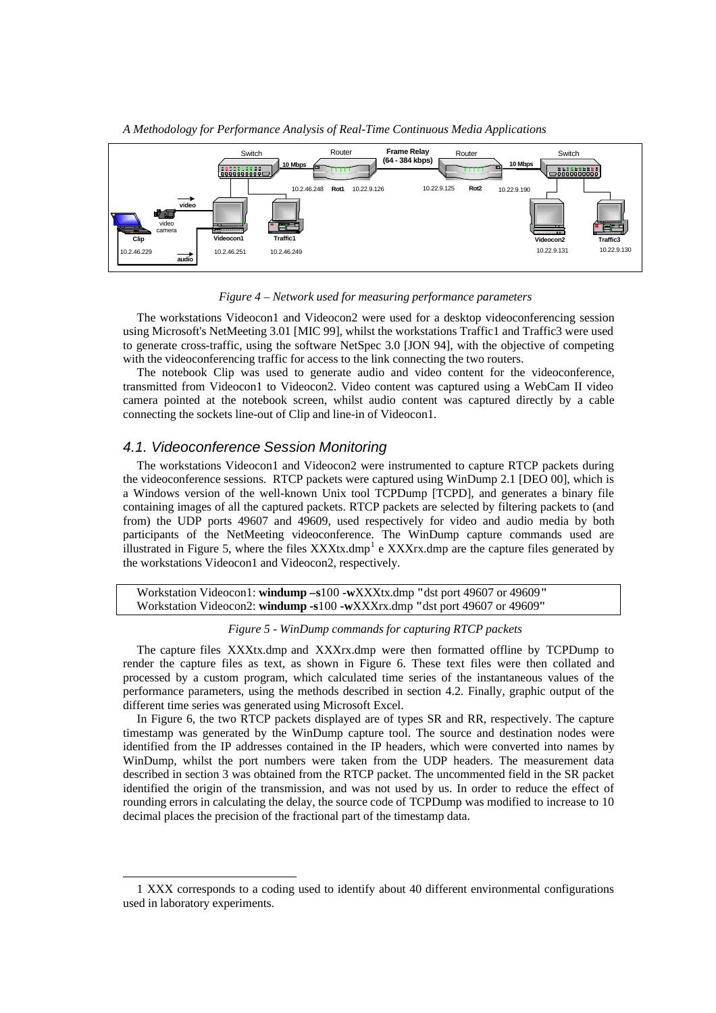

*A Methodology for Performance Analysis of Real-Time Continuous Media Applications*

*Figure 4 – Network used for measuring performance parameters*

The workstations Videocon1 and Videocon2 were used for a desktop videoconferencing session using Microsoft's NetMeeting 3.01 [MIC 99], whilst the workstations Traffic1 and Traffic3 were used to generate cross-traffic, using the software NetSpec 3.0 [JON 94], with the objective of competing with the videoconferencing traffic for access to the link connecting the two routers.

The notebook Clip was used to generate audio and video content for the videoconference, transmitted from Videocon1 to Videocon2. Video content was captured using a WebCam II video camera pointed at the notebook screen, whilst audio content was captured directly by a cable connecting the sockets line-out of Clip and line-in of Videocon1.

## *4.1. Videoconference Session Monitoring*

l

The workstations Videocon1 and Videocon2 were instrumented to capture RTCP packets during the videoconference sessions. RTCP packets were captured using WinDump 2.1 [DEO 00], which is a Windows version of the well-known Unix tool TCPDump [TCPD], and generates a binary file containing images of all the captured packets. RTCP packets are selected by filtering packets to (and from) the UDP ports 49607 and 49609, used respectively for video and audio media by both participants of the NetMeeting videoconference. The WinDump capture commands used are illustrated in Figure 5, where the files  $XXXtx.dmp<sup>1</sup>$  e  $XXXrx.dmp$  are the capture files generated by the workstations Videocon1 and Videocon2, respectively.

Workstation Videocon1: **windump –s**100 **-w**XXXtx.dmp **"**dst port 49607 or 49609**"** Workstation Videocon2: **windump -s**100 **-w**XXXrx.dmp **"**dst port 49607 or 49609**"**

## *Figure 5 - WinDump commands for capturing RTCP packets*

The capture files XXXtx.dmp and XXXrx.dmp were then formatted offline by TCPDump to render the capture files as text, as shown in Figure 6. These text files were then collated and processed by a custom program, which calculated time series of the instantaneous values of the performance parameters, using the methods described in section 4.2. Finally, graphic output of the different time series was generated using Microsoft Excel.

In Figure 6, the two RTCP packets displayed are of types SR and RR, respectively. The capture timestamp was generated by the WinDump capture tool. The source and destination nodes were identified from the IP addresses contained in the IP headers, which were converted into names by WinDump, whilst the port numbers were taken from the UDP headers. The measurement data described in section 3 was obtained from the RTCP packet. The uncommented field in the SR packet identified the origin of the transmission, and was not used by us. In order to reduce the effect of rounding errors in calculating the delay, the source code of TCPDump was modified to increase to 10 decimal places the precision of the fractional part of the timestamp data.

<sup>1</sup> XXX corresponds to a coding used to identify about 40 different environmental configurations used in laboratory experiments.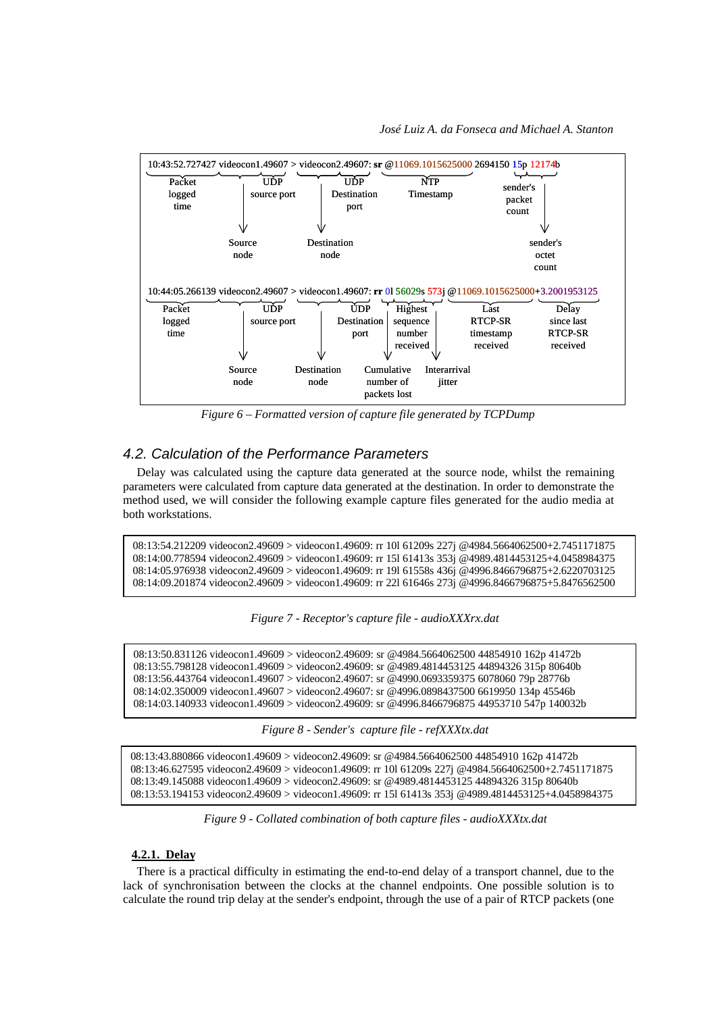

*Figure 6 – Formatted version of capture file generated by TCPDump*

## *4.2. Calculation of the Performance Parameters*

Delay was calculated using the capture data generated at the source node, whilst the remaining parameters were calculated from capture data generated at the destination. In order to demonstrate the method used, we will consider the following example capture files generated for the audio media at both workstations.

```
08:13:54.212209 videocon2.49609 > videocon1.49609: rr 10l 61209s 227j @4984.5664062500+2.7451171875
08:14:00.778594 videocon2.49609 > videocon1.49609: rr 15l 61413s 353j @4989.4814453125+4.0458984375
08:14:05.976938 videocon2.49609 > videocon1.49609: rr 19l 61558s 436j @4996.8466796875+2.6220703125
08:14:09.201874 videocon2.49609 > videocon1.49609: rr 22l 61646s 273j @4996.8466796875+5.8476562500
```


08:13:50.831126 videocon1.49609 > videocon2.49609: sr @4984.5664062500 44854910 162p 41472b 08:13:55.798128 videocon1.49609 > videocon2.49609: sr @4989.4814453125 44894326 315p 80640b 08:13:56.443764 videocon1.49607 > videocon2.49607: sr @4990.0693359375 6078060 79p 28776b 08:14:02.350009 videocon1.49607 > videocon2.49607: sr @4996.0898437500 6619950 134p 45546b 08:14:03.140933 videocon1.49609 > videocon2.49609: sr @4996.8466796875 44953710 547p 140032b

*Figure 8 - Sender's capture file - refXXXtx.dat*

08:13:43.880866 videocon1.49609 > videocon2.49609: sr @4984.5664062500 44854910 162p 41472b 08:13:46.627595 videocon2.49609 > videocon1.49609: rr 10l 61209s 227j @4984.5664062500+2.7451171875 08:13:49.145088 videocon1.49609 > videocon2.49609: sr @4989.4814453125 44894326 315p 80640b 08:13:53.194153 videocon2.49609 > videocon1.49609: rr 15l 61413s 353j @4989.4814453125+4.0458984375

*Figure 9 - Collated combination of both capture files - audioXXXtx.dat*

#### **4.2.1. Delay**

There is a practical difficulty in estimating the end-to-end delay of a transport channel, due to the lack of synchronisation between the clocks at the channel endpoints. One possible solution is to calculate the round trip delay at the sender's endpoint, through the use of a pair of RTCP packets (one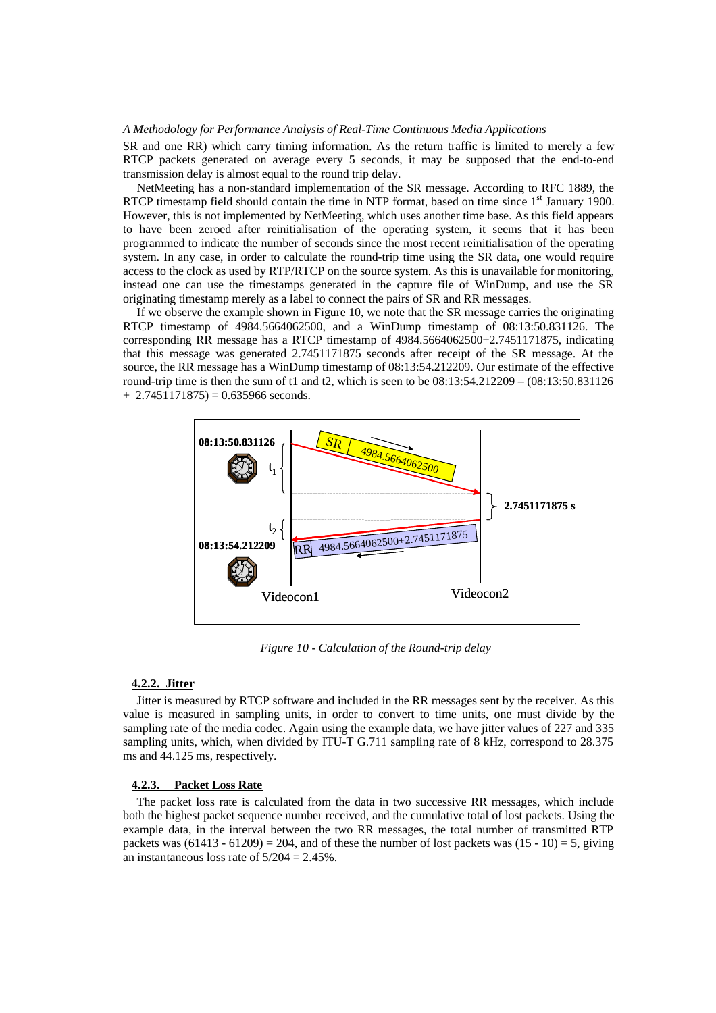#### *A Methodology for Performance Analysis of Real-Time Continuous Media Applications*

SR and one RR) which carry timing information. As the return traffic is limited to merely a few RTCP packets generated on average every 5 seconds, it may be supposed that the end-to-end transmission delay is almost equal to the round trip delay.

NetMeeting has a non-standard implementation of the SR message. According to RFC 1889, the RTCP timestamp field should contain the time in NTP format, based on time since  $1<sup>st</sup>$  January 1900. However, this is not implemented by NetMeeting, which uses another time base. As this field appears to have been zeroed after reinitialisation of the operating system, it seems that it has been programmed to indicate the number of seconds since the most recent reinitialisation of the operating system. In any case, in order to calculate the round-trip time using the SR data, one would require access to the clock as used by RTP/RTCP on the source system. As this is unavailable for monitoring, instead one can use the timestamps generated in the capture file of WinDump, and use the SR originating timestamp merely as a label to connect the pairs of SR and RR messages.

If we observe the example shown in Figure 10, we note that the SR message carries the originating RTCP timestamp of 4984.5664062500, and a WinDump timestamp of 08:13:50.831126. The corresponding RR message has a RTCP timestamp of 4984.5664062500+2.7451171875, indicating that this message was generated 2.7451171875 seconds after receipt of the SR message. At the source, the RR message has a WinDump timestamp of 08:13:54.212209. Our estimate of the effective round-trip time is then the sum of t1 and t2, which is seen to be  $08:13:54.212209 - (08:13:50.831126)$  $+ 2.7451171875 = 0.635966$  seconds.



*Figure 10 - Calculation of the Round-trip delay*

#### **4.2.2. Jitter**

Jitter is measured by RTCP software and included in the RR messages sent by the receiver. As this value is measured in sampling units, in order to convert to time units, one must divide by the sampling rate of the media codec. Again using the example data, we have jitter values of 227 and 335 sampling units, which, when divided by ITU-T G.711 sampling rate of 8 kHz, correspond to 28.375 ms and 44.125 ms, respectively.

#### **4.2.3. Packet Loss Rate**

The packet loss rate is calculated from the data in two successive RR messages, which include both the highest packet sequence number received, and the cumulative total of lost packets. Using the example data, in the interval between the two RR messages, the total number of transmitted RTP packets was  $(61413 - 61209) = 204$ , and of these the number of lost packets was  $(15 - 10) = 5$ , giving an instantaneous loss rate of  $5/204 = 2.45\%$ .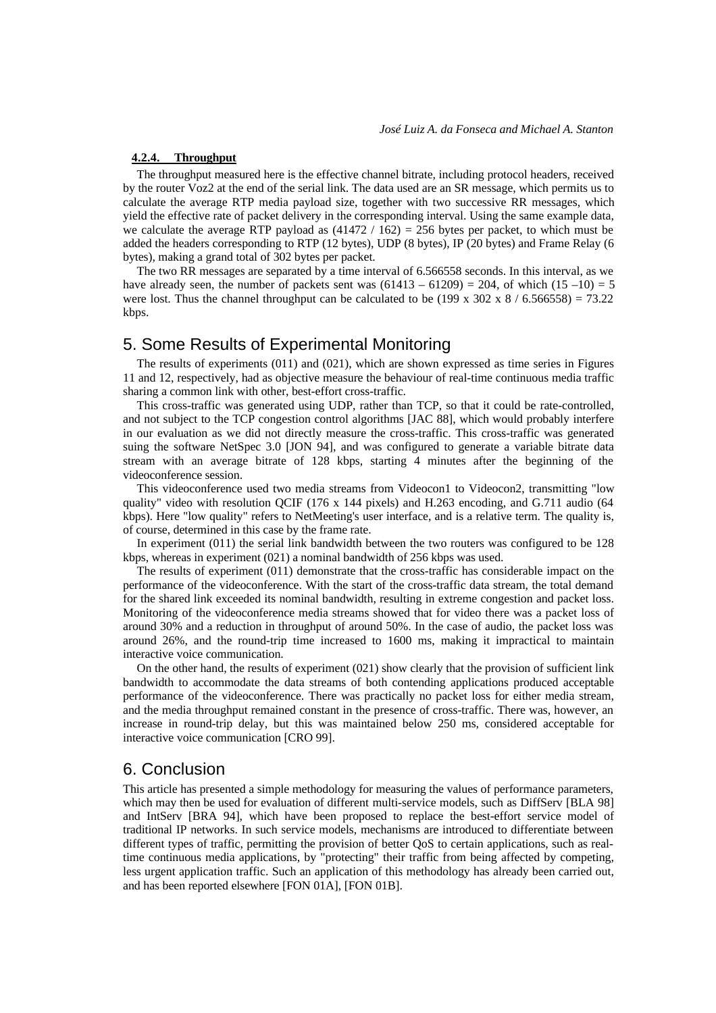### **4.2.4. Throughput**

The throughput measured here is the effective channel bitrate, including protocol headers, received by the router Voz2 at the end of the serial link. The data used are an SR message, which permits us to calculate the average RTP media payload size, together with two successive RR messages, which yield the effective rate of packet delivery in the corresponding interval. Using the same example data, we calculate the average RTP payload as  $(41472 / 162) = 256$  bytes per packet, to which must be added the headers corresponding to RTP (12 bytes), UDP (8 bytes), IP (20 bytes) and Frame Relay (6 bytes), making a grand total of 302 bytes per packet.

The two RR messages are separated by a time interval of 6.566558 seconds. In this interval, as we have already seen, the number of packets sent was  $(61413 - 61209) = 204$ , of which  $(15 - 10) = 5$ were lost. Thus the channel throughput can be calculated to be (199 x 302 x 8 / 6.566558) = 73.22 kbps.

## 5. Some Results of Experimental Monitoring

The results of experiments (011) and (021), which are shown expressed as time series in Figures 11 and 12, respectively, had as objective measure the behaviour of real-time continuous media traffic sharing a common link with other, best-effort cross-traffic.

This cross-traffic was generated using UDP, rather than TCP, so that it could be rate-controlled, and not subject to the TCP congestion control algorithms [JAC 88], which would probably interfere in our evaluation as we did not directly measure the cross-traffic. This cross-traffic was generated suing the software NetSpec 3.0 [JON 94], and was configured to generate a variable bitrate data stream with an average bitrate of 128 kbps, starting 4 minutes after the beginning of the videoconference session.

This videoconference used two media streams from Videocon1 to Videocon2, transmitting "low quality" video with resolution QCIF (176 x 144 pixels) and H.263 encoding, and G.711 audio (64 kbps). Here "low quality" refers to NetMeeting's user interface, and is a relative term. The quality is, of course, determined in this case by the frame rate.

In experiment (011) the serial link bandwidth between the two routers was configured to be 128 kbps, whereas in experiment (021) a nominal bandwidth of 256 kbps was used.

The results of experiment (011) demonstrate that the cross-traffic has considerable impact on the performance of the videoconference. With the start of the cross-traffic data stream, the total demand for the shared link exceeded its nominal bandwidth, resulting in extreme congestion and packet loss. Monitoring of the videoconference media streams showed that for video there was a packet loss of around 30% and a reduction in throughput of around 50%. In the case of audio, the packet loss was around 26%, and the round-trip time increased to 1600 ms, making it impractical to maintain interactive voice communication.

On the other hand, the results of experiment (021) show clearly that the provision of sufficient link bandwidth to accommodate the data streams of both contending applications produced acceptable performance of the videoconference. There was practically no packet loss for either media stream, and the media throughput remained constant in the presence of cross-traffic. There was, however, an increase in round-trip delay, but this was maintained below 250 ms, considered acceptable for interactive voice communication [CRO 99].

## 6. Conclusion

This article has presented a simple methodology for measuring the values of performance parameters, which may then be used for evaluation of different multi-service models, such as DiffServ [BLA 98] and IntServ [BRA 94], which have been proposed to replace the best-effort service model of traditional IP networks. In such service models, mechanisms are introduced to differentiate between different types of traffic, permitting the provision of better QoS to certain applications, such as realtime continuous media applications, by "protecting" their traffic from being affected by competing, less urgent application traffic. Such an application of this methodology has already been carried out, and has been reported elsewhere [FON 01A], [FON 01B].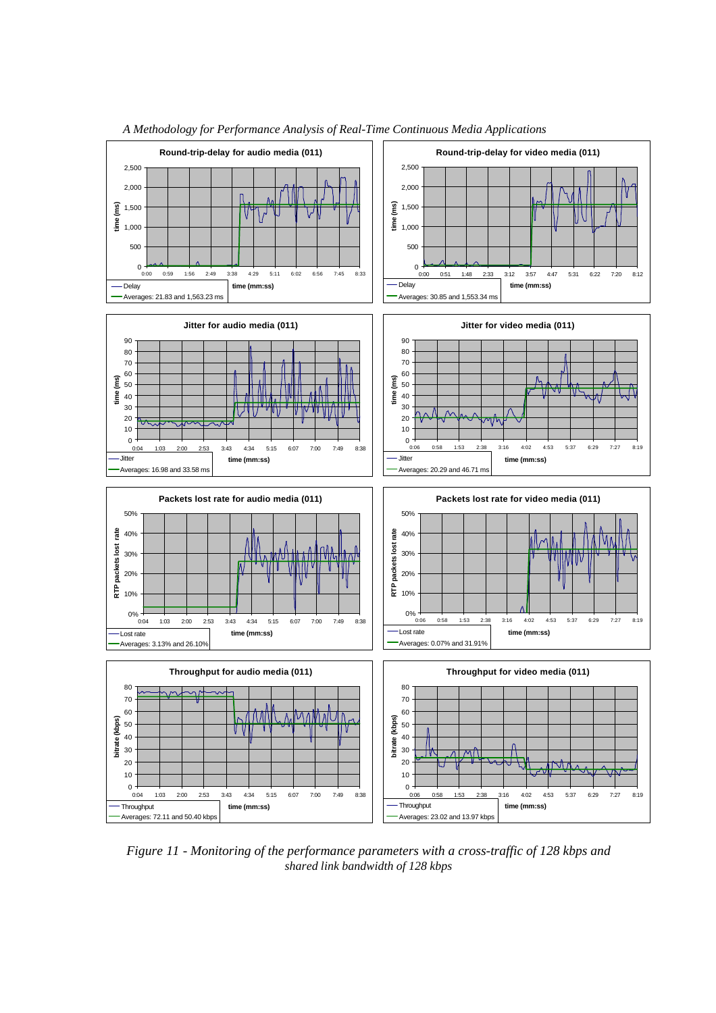

*A Methodology for Performance Analysis of Real-Time Continuous Media Applications*

*Figure 11 - Monitoring of the performance parameters with a cross-traffic of 128 kbps and shared link bandwidth of 128 kbps*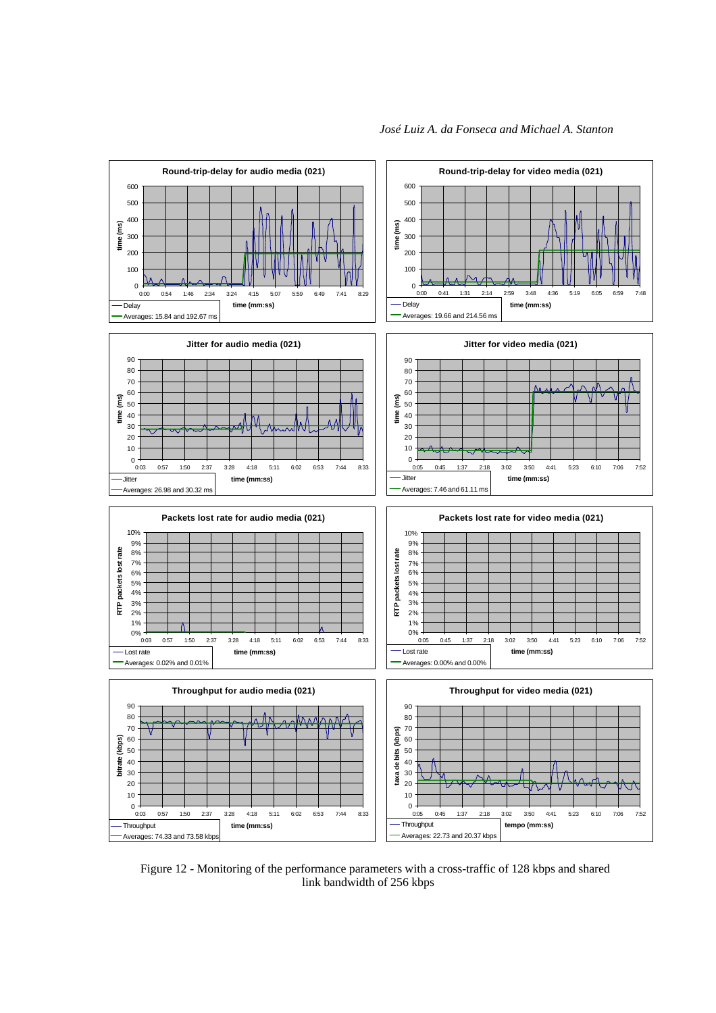

*José Luiz A. da Fonseca and Michael A. Stanton*



Figure 12 - Monitoring of the performance parameters with a cross-traffic of 128 kbps and shared link bandwidth of 256 kbps